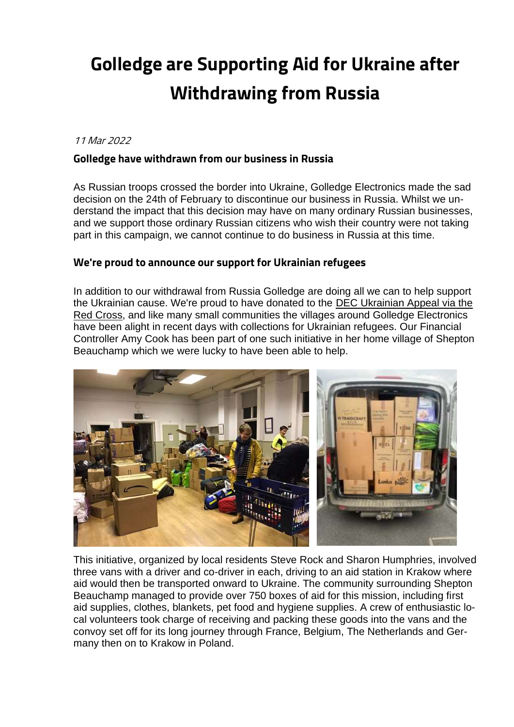## **Golledge are Supporting Aid for Ukraine after Withdrawing from Russia**

## 11 Mar 2022

## **Golledge have withdrawn from our business in Russia**

As Russian troops crossed the border into Ukraine, Golledge Electronics made the sad decision on the 24th of February to discontinue our business in Russia. Whilst we understand the impact that this decision may have on many ordinary Russian businesses, and we support those ordinary Russian citizens who wish their country were not taking part in this campaign, we cannot continue to do business in Russia at this time.

## **We're proud to announce our support for Ukrainian refugees**

In addition to our withdrawal from Russia Golledge are doing all we can to help support the Ukrainian cause. We're proud to have donated to the [DEC Ukrainian Appeal via the](https://donate.redcross.org.uk/appeal/ukraine-crisis-appeal)  [Red Cross,](https://donate.redcross.org.uk/appeal/ukraine-crisis-appeal) and like many small communities the villages around Golledge Electronics have been alight in recent days with collections for Ukrainian refugees. Our Financial Controller Amy Cook has been part of one such initiative in her home village of Shepton Beauchamp which we were lucky to have been able to help.



This initiative, organized by local residents Steve Rock and Sharon Humphries, involved three vans with a driver and co-driver in each, driving to an aid station in Krakow where aid would then be transported onward to Ukraine. The community surrounding Shepton Beauchamp managed to provide over 750 boxes of aid for this mission, including first aid supplies, clothes, blankets, pet food and hygiene supplies. A crew of enthusiastic local volunteers took charge of receiving and packing these goods into the vans and the convoy set off for its long journey through France, Belgium, The Netherlands and Germany then on to Krakow in Poland.